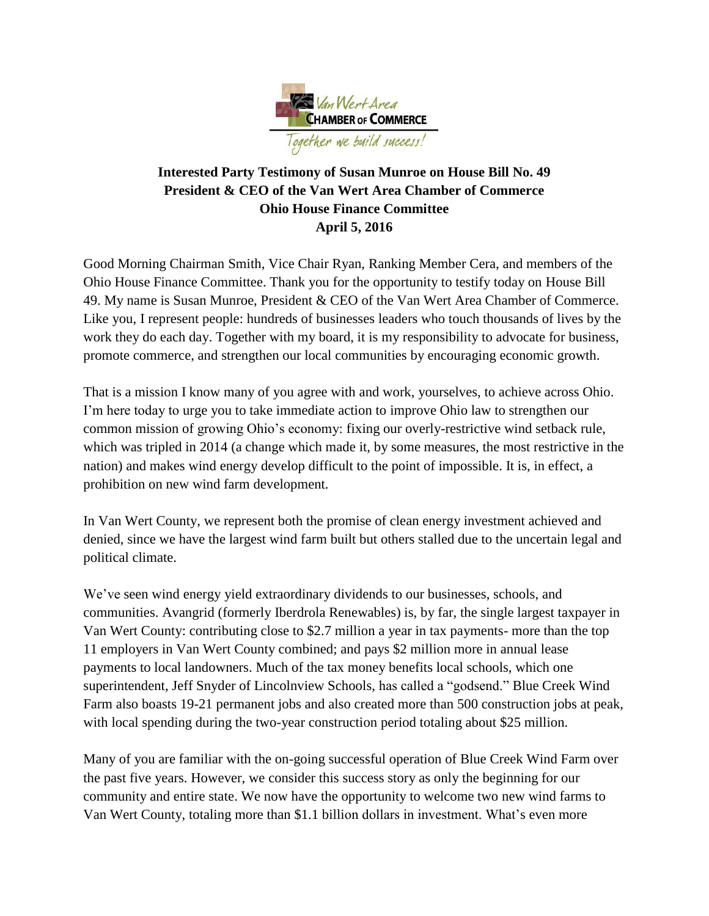

## **Interested Party Testimony of Susan Munroe on House Bill No. 49 President & CEO of the Van Wert Area Chamber of Commerce Ohio House Finance Committee April 5, 2016**

Good Morning Chairman Smith, Vice Chair Ryan, Ranking Member Cera, and members of the Ohio House Finance Committee. Thank you for the opportunity to testify today on House Bill 49. My name is Susan Munroe, President & CEO of the Van Wert Area Chamber of Commerce. Like you, I represent people: hundreds of businesses leaders who touch thousands of lives by the work they do each day. Together with my board, it is my responsibility to advocate for business, promote commerce, and strengthen our local communities by encouraging economic growth.

That is a mission I know many of you agree with and work, yourselves, to achieve across Ohio. I'm here today to urge you to take immediate action to improve Ohio law to strengthen our common mission of growing Ohio's economy: fixing our overly-restrictive wind setback rule, which was tripled in 2014 (a change which made it, by some measures, the most restrictive in the nation) and makes wind energy develop difficult to the point of impossible. It is, in effect, a prohibition on new wind farm development.

In Van Wert County, we represent both the promise of clean energy investment achieved and denied, since we have the largest wind farm built but others stalled due to the uncertain legal and political climate.

We've seen wind energy yield extraordinary dividends to our businesses, schools, and communities. Avangrid (formerly Iberdrola Renewables) is, by far, the single largest taxpayer in Van Wert County: contributing close to \$2.7 million a year in tax payments- more than the top 11 employers in Van Wert County combined; and pays \$2 million more in annual lease payments to local landowners. Much of the tax money benefits local schools, which one superintendent, Jeff Snyder of Lincolnview Schools, has called a "godsend." Blue Creek Wind Farm also boasts 19-21 permanent jobs and also created more than 500 construction jobs at peak, with local spending during the two-year construction period totaling about \$25 million.

Many of you are familiar with the on-going successful operation of Blue Creek Wind Farm over the past five years. However, we consider this success story as only the beginning for our community and entire state. We now have the opportunity to welcome two new wind farms to Van Wert County, totaling more than \$1.1 billion dollars in investment. What's even more